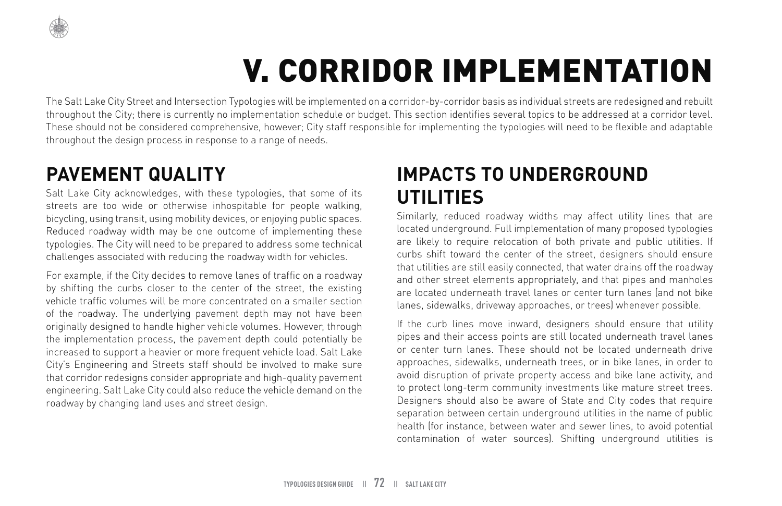

# V. CORRIDOR IMPLEMENTATION

The Salt Lake City Street and Intersection Typologies will be implemented on a corridor-by-corridor basis as individual streets are redesigned and rebuilt throughout the City; there is currently no implementation schedule or budget. This section identifies several topics to be addressed at a corridor level. These should not be considered comprehensive, however; City staff responsible for implementing the typologies will need to be flexible and adaptable throughout the design process in response to a range of needs.

### **PAVEMENT QUALITY**

Salt Lake City acknowledges, with these typologies, that some of its streets are too wide or otherwise inhospitable for people walking, bicycling, using transit, using mobility devices, or enjoying public spaces. Reduced roadway width may be one outcome of implementing these typologies. The City will need to be prepared to address some technical challenges associated with reducing the roadway width for vehicles.

For example, if the City decides to remove lanes of traffic on a roadway by shifting the curbs closer to the center of the street, the existing vehicle traffic volumes will be more concentrated on a smaller section of the roadway. The underlying pavement depth may not have been originally designed to handle higher vehicle volumes. However, through the implementation process, the pavement depth could potentially be increased to support a heavier or more frequent vehicle load. Salt Lake City's Engineering and Streets staff should be involved to make sure that corridor redesigns consider appropriate and high-quality pavement engineering. Salt Lake City could also reduce the vehicle demand on the roadway by changing land uses and street design.

### **IMPACTS TO UNDERGROUND UTILITIES**

Similarly, reduced roadway widths may affect utility lines that are located underground. Full implementation of many proposed typologies are likely to require relocation of both private and public utilities. If curbs shift toward the center of the street, designers should ensure that utilities are still easily connected, that water drains off the roadway and other street elements appropriately, and that pipes and manholes are located underneath travel lanes or center turn lanes (and not bike lanes, sidewalks, driveway approaches, or trees) whenever possible.

If the curb lines move inward, designers should ensure that utility pipes and their access points are still located underneath travel lanes or center turn lanes. These should not be located underneath drive approaches, sidewalks, underneath trees, or in bike lanes, in order to avoid disruption of private property access and bike lane activity, and to protect long-term community investments like mature street trees. Designers should also be aware of State and City codes that require separation between certain underground utilities in the name of public health (for instance, between water and sewer lines, to avoid potential contamination of water sources). Shifting underground utilities is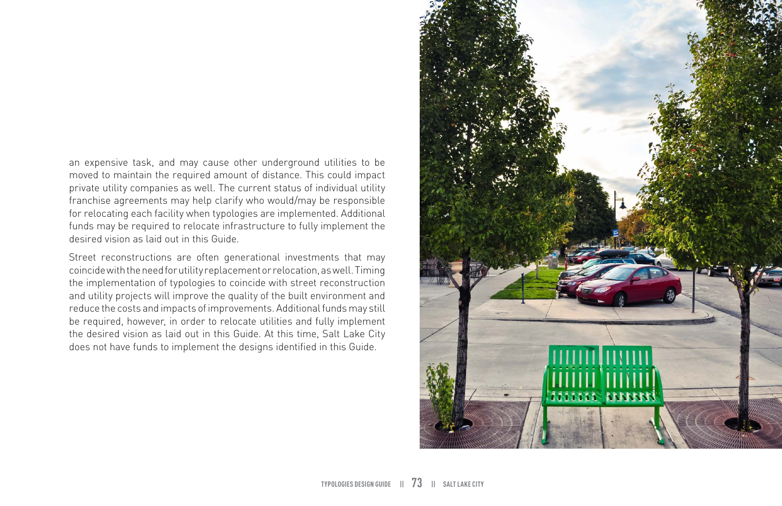#### an expensive task, and may cause other underground utilities to be moved to maintain the required amount of distance. This could impact private utility companies as well. The current status of individual utility franchise agreements may help clarify who would/may be responsible for relocating each facility when typologies are implemented. Additional funds may be required to relocate infrastructure to fully implement the desired vision as laid out in this Guide.

Street reconstructions are often generational investments that may coincide with the need for utility replacement or relocation, as well. Timing the implementation of typologies to coincide with street reconstruction and utility projects will improve the quality of the built environment and reduce the costs and impacts of improvements. Additional funds may still be required, however, in order to relocate utilities and fully implement the desired vision as laid out in this Guide. At this time, Salt Lake City does not have funds to implement the designs identified in this Guide.

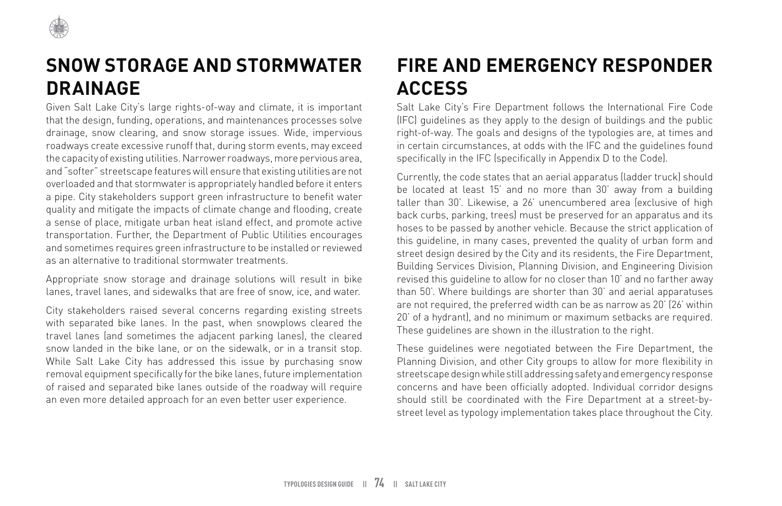

### **SNOW STORAGE AND STORMWATER DRAINAGE**

Given Salt Lake City's large rights-of-way and climate, it is important that the design, funding, operations, and maintenances processes solve drainage, snow clearing, and snow storage issues. Wide, impervious roadways create excessive runoff that, during storm events, may exceed the capacity of existing utilities. Narrower roadways, more pervious area, and "softer" streetscape features will ensure that existing utilities are not overloaded and that stormwater is appropriately handled before it enters a pipe. City stakeholders support green infrastructure to benefit water quality and mitigate the impacts of climate change and flooding, create a sense of place, mitigate urban heat island effect, and promote active transportation. Further, the Department of Public Utilities encourages and sometimes requires green infrastructure to be installed or reviewed as an alternative to traditional stormwater treatments.

Appropriate snow storage and drainage solutions will result in bike lanes, travel lanes, and sidewalks that are free of snow, ice, and water.

City stakeholders raised several concerns regarding existing streets with separated bike lanes. In the past, when snowplows cleared the travel lanes (and sometimes the adjacent parking lanes), the cleared snow landed in the bike lane, or on the sidewalk, or in a transit stop. While Salt Lake City has addressed this issue by purchasing snow removal equipment specifically for the bike lanes, future implementation of raised and separated bike lanes outside of the roadway will require an even more detailed approach for an even better user experience.

### **FIRE AND EMERGENCY RESPONDER ACCESS**

Salt Lake City's Fire Department follows the International Fire Code (IFC) guidelines as they apply to the design of buildings and the public right-of-way. The goals and designs of the typologies are, at times and in certain circumstances, at odds with the IFC and the guidelines found specifically in the IFC (specifically in Appendix D to the Code).

Currently, the code states that an aerial apparatus (ladder truck) should be located at least 15' and no more than 30' away from a building taller than 30'. Likewise, a 26' unencumbered area (exclusive of high back curbs, parking, trees) must be preserved for an apparatus and its hoses to be passed by another vehicle. Because the strict application of this guideline, in many cases, prevented the quality of urban form and street design desired by the City and its residents, the Fire Department, Building Services Division, Planning Division, and Engineering Division revised this guideline to allow for no closer than 10' and no farther away than 50'. Where buildings are shorter than 30' and aerial apparatuses are not required, the preferred width can be as narrow as 20' (26' within 20' of a hydrant), and no minimum or maximum setbacks are required. These guidelines are shown in the illustration to the right.

These guidelines were negotiated between the Fire Department, the Planning Division, and other City groups to allow for more flexibility in streetscape design while still addressing safety and emergency response concerns and have been officially adopted. Individual corridor designs should still be coordinated with the Fire Department at a street-bystreet level as typology implementation takes place throughout the City.